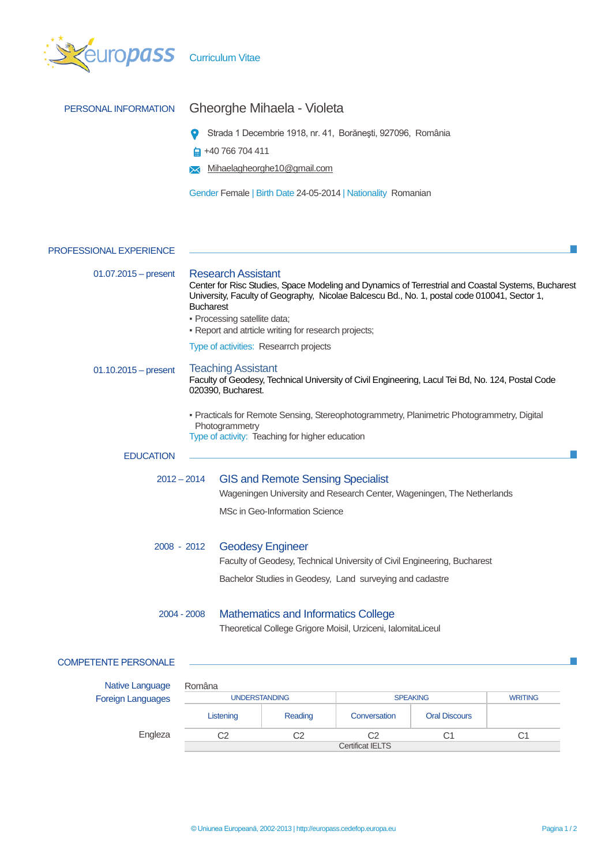

| PERSONAL INFORMATION    | Gheorghe Mihaela - Violeta                                                                                                                                                                                                                                                                                                                                                            |                                                                                                                                                                 |  |  |
|-------------------------|---------------------------------------------------------------------------------------------------------------------------------------------------------------------------------------------------------------------------------------------------------------------------------------------------------------------------------------------------------------------------------------|-----------------------------------------------------------------------------------------------------------------------------------------------------------------|--|--|
|                         |                                                                                                                                                                                                                                                                                                                                                                                       | Strada 1 Decembrie 1918, nr. 41, Borănești, 927096, România<br>+40 766 704 411                                                                                  |  |  |
|                         |                                                                                                                                                                                                                                                                                                                                                                                       | Mihaelagheorghe10@gmail.com                                                                                                                                     |  |  |
|                         |                                                                                                                                                                                                                                                                                                                                                                                       | Gender Female   Birth Date 24-05-2014   Nationality Romanian                                                                                                    |  |  |
| PROFESSIONAL EXPERIENCE |                                                                                                                                                                                                                                                                                                                                                                                       |                                                                                                                                                                 |  |  |
| $01.07.2015 - present$  | <b>Research Assistant</b><br>Center for Risc Studies, Space Modeling and Dynamics of Terrestrial and Coastal Systems, Bucharest<br>University, Faculty of Geography, Nicolae Balcescu Bd., No. 1, postal code 010041, Sector 1,<br><b>Bucharest</b><br>· Processing satellite data;<br>- Report and atrticle writing for research projects;<br>Type of activities: Researrch projects |                                                                                                                                                                 |  |  |
| $01.10.2015 - present$  | <b>Teaching Assistant</b><br>Faculty of Geodesy, Technical University of Civil Engineering, Lacul Tei Bd, No. 124, Postal Code<br>020390, Bucharest.                                                                                                                                                                                                                                  |                                                                                                                                                                 |  |  |
|                         | - Practicals for Remote Sensing, Stereophotogrammetry, Planimetric Photogrammetry, Digital<br>Photogrammetry<br>Type of activity: Teaching for higher education                                                                                                                                                                                                                       |                                                                                                                                                                 |  |  |
| <b>EDUCATION</b>        |                                                                                                                                                                                                                                                                                                                                                                                       |                                                                                                                                                                 |  |  |
| $2012 - 2014$           |                                                                                                                                                                                                                                                                                                                                                                                       | <b>GIS and Remote Sensing Specialist</b><br>Wageningen University and Research Center, Wageningen, The Netherlands<br>MSc in Geo-Information Science            |  |  |
| 2008 - 2012             |                                                                                                                                                                                                                                                                                                                                                                                       | <b>Geodesy Engineer</b><br>Faculty of Geodesy, Technical University of Civil Engineering, Bucharest<br>Bachelor Studies in Geodesy, Land surveying and cadastre |  |  |
| 2004 - 2008             |                                                                                                                                                                                                                                                                                                                                                                                       | <b>Mathematics and Informatics College</b><br>Theoretical College Grigore Moisil, Urziceni, IalomitaLiceul                                                      |  |  |
| COMPETENTE PERSONALE    |                                                                                                                                                                                                                                                                                                                                                                                       |                                                                                                                                                                 |  |  |

## COMPETENΤE PERSONALE

| Native Language          | Româna    |                      |                         |                      |                |
|--------------------------|-----------|----------------------|-------------------------|----------------------|----------------|
| <b>Foreign Languages</b> |           | <b>UNDERSTANDING</b> | <b>SPEAKING</b>         |                      | <b>WRITING</b> |
|                          | Listening | Reading              | Conversation            | <b>Oral Discours</b> |                |
| Engleza                  | C2        | C2                   | C2                      | С1                   | C1             |
|                          |           |                      | <b>Certificat IELTS</b> |                      |                |